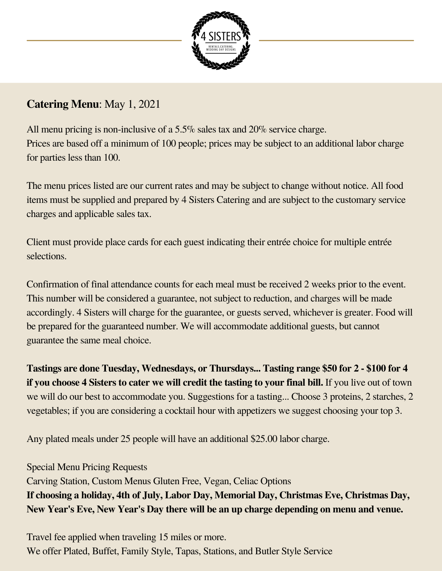

# **Catering Menu**: May 1, 2021

All menu pricing is non-inclusive of a 5.5% sales tax and 20% service charge. Prices are based off a minimum of 100 people; prices may be subject to an additional labor charge for parties less than 100.

The menu prices listed are our current rates and may be subject to change without notice. All food items must be supplied and prepared by 4 Sisters Catering and are subject to the customary service charges and applicable sales tax.

Client must provide place cards for each guest indicating their entrée choice for multiple entrée selections.

Confirmation of final attendance counts for each meal must be received 2 weeks prior to the event. This number will be considered a guarantee, not subject to reduction, and charges will be made accordingly. 4 Sisters will charge for the guarantee, or guests served, whichever is greater. Food will be prepared for the guaranteed number. We will accommodate additional guests, but cannot guarantee the same meal choice.

**Tastings are done Tuesday, Wednesdays, or Thursdays... Tasting range \$50 for 2 - \$100 for 4 if you choose 4 Sisters to cater we will credit the tasting to your final bill.** If you live out of town we will do our best to accommodate you. Suggestions for a tasting... Choose 3 proteins, 2 starches, 2 vegetables; if you are considering a cocktail hour with appetizers we suggest choosing your top 3.

Any plated meals under 25 people will have an additional \$25.00 labor charge.

Special Menu Pricing Requests Carving Station, Custom Menus Gluten Free, Vegan, Celiac Options **If choosing a holiday, 4th of July, Labor Day, Memorial Day, Christmas Eve, Christmas Day, New Year's Eve, New Year's Day there will be an up charge depending on menu and venue.**

Travel fee applied when traveling 15 miles or more. We offer Plated, Buffet, Family Style, Tapas, Stations, and Butler Style Service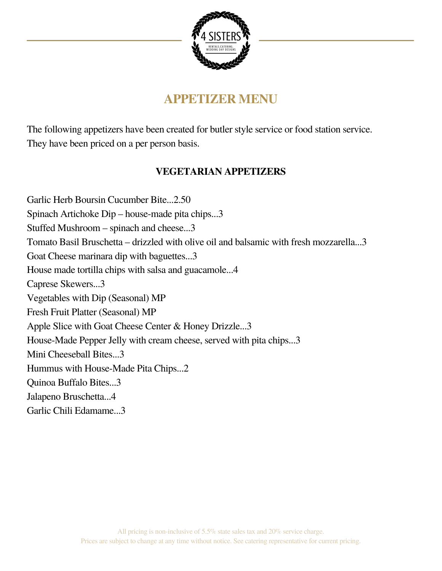

# **APPETIZER MENU**

The following appetizers have been created for butler style service or food station service. They have been priced on a per person basis.

# **VEGETARIAN APPETIZERS**

Garlic Herb Boursin Cucumber Bite...2.50 Spinach Artichoke Dip – house-made pita chips...3 Stuffed Mushroom – spinach and cheese...3 Tomato Basil Bruschetta – drizzled with olive oil and balsamic with fresh mozzarella...3 Goat Cheese marinara dip with baguettes...3 House made tortilla chips with salsa and guacamole...4 Caprese Skewers...3 Vegetables with Dip (Seasonal) MP Fresh Fruit Platter (Seasonal) MP Apple Slice with Goat Cheese Center & Honey Drizzle...3 House-Made Pepper Jelly with cream cheese, served with pita chips...3 Mini Cheeseball Bites...3 Hummus with House-Made Pita Chips...2 Quinoa Buffalo Bites...3 Jalapeno Bruschetta...4 Garlic Chili Edamame...3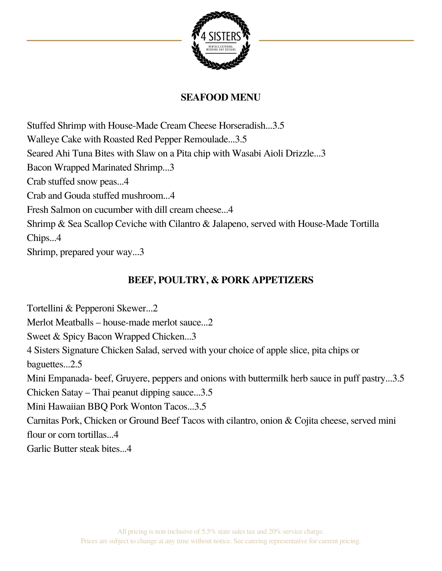

## **SEAFOOD MENU**

Stuffed Shrimp with House-Made Cream Cheese Horseradish...3.5 Walleye Cake with Roasted Red Pepper Remoulade...3.5 Seared Ahi Tuna Bites with Slaw on a Pita chip with Wasabi Aioli Drizzle...3 Bacon Wrapped Marinated Shrimp...3 Crab stuffed snow peas...4 Crab and Gouda stuffed mushroom...4 Fresh Salmon on cucumber with dill cream cheese...4 Shrimp & Sea Scallop Ceviche with Cilantro & Jalapeno, served with House-Made Tortilla Chips...4

Shrimp, prepared your way...3

# **BEEF, POULTRY, & PORK APPETIZERS**

Tortellini & Pepperoni Skewer...2

Merlot Meatballs – house-made merlot sauce...2

Sweet & Spicy Bacon Wrapped Chicken...3

4 Sisters Signature Chicken Salad, served with your choice of apple slice, pita chips or baguettes...2.5

Mini Empanada- beef, Gruyere, peppers and onions with buttermilk herb sauce in puff pastry...3.5

Chicken Satay – Thai peanut dipping sauce...3.5

Mini Hawaiian BBQ Pork Wonton Tacos...3.5

Carnitas Pork, Chicken or Ground Beef Tacos with cilantro, onion & Cojita cheese, served mini flour or corn tortillas...4

Garlic Butter steak bites...4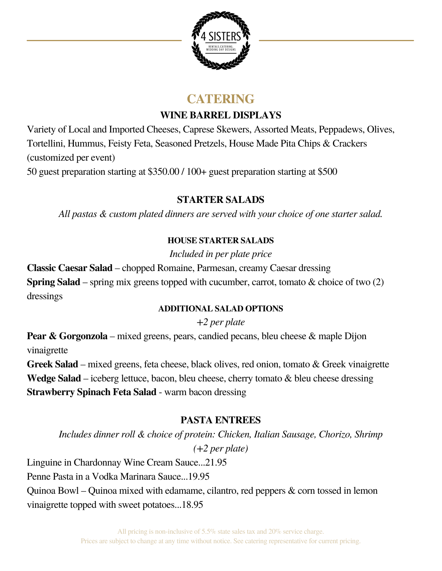

# **CATERING**

## **WINE BARREL DISPLAYS**

Variety of Local and Imported Cheeses, Caprese Skewers, Assorted Meats, Peppadews, Olives, Tortellini, Hummus, Feisty Feta, Seasoned Pretzels, House Made Pita Chips & Crackers (customized per event)

50 guest preparation starting at \$350.00 / 100+ guest preparation starting at \$500

## **STARTER SALADS**

*All pastas & custom plated dinners are served with your choice of one starter salad.*

## **HOUSE STARTER SALADS**

*Included in per plate price*

**Classic Caesar Salad** – chopped Romaine, Parmesan, creamy Caesar dressing **Spring Salad** – spring mix greens topped with cucumber, carrot, tomato & choice of two (2) dressings

## **ADDITIONAL SALAD OPTIONS**

*+2 per plate*

**Pear & Gorgonzola** – mixed greens, pears, candied pecans, bleu cheese & maple Dijon vinaigrette

**Greek Salad** – mixed greens, feta cheese, black olives, red onion, tomato & Greek vinaigrette **Wedge Salad** – iceberg lettuce, bacon, bleu cheese, cherry tomato & bleu cheese dressing **Strawberry Spinach Feta Salad** - warm bacon dressing

# **PASTA ENTREES**

*Includes dinner roll & choice of protein: Chicken, Italian Sausage, Chorizo, Shrimp (+2 per plate)*

Linguine in Chardonnay Wine Cream Sauce...21.95 Penne Pasta in a Vodka Marinara Sauce...19.95 Quinoa Bowl – Quinoa mixed with edamame, cilantro, red peppers & corn tossed in lemon vinaigrette topped with sweet potatoes...18.95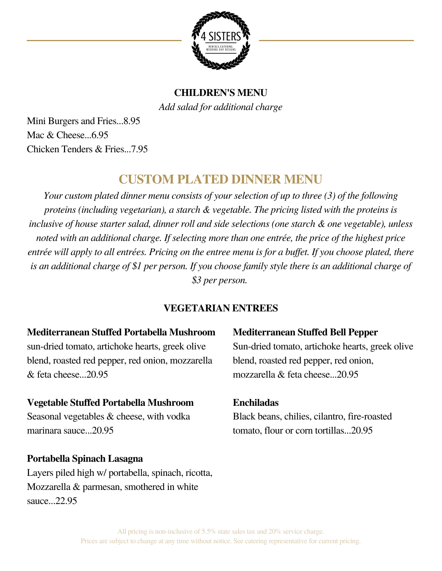

# **CHILDREN'S MENU** *Add salad for additional charge*

Mini Burgers and Fries...8.95 Mac  $&$  Cheese... $6.95$ Chicken Tenders & Fries...7.95

# **CUSTOM PLATED DINNER MENU**

*Your custom plated dinner menu consists of your selection of up to three (3) of the following proteins (including vegetarian), a starch & vegetable. The pricing listed with the proteins is inclusive of house starter salad, dinner roll and side selections (one starch & one vegetable), unless noted with an additional charge. If selecting more than one entrée, the price of the highest price* entrée will apply to all entrées. Pricing on the entree menu is for a buffet. If you choose plated, there is an additional charge of \$1 per person. If you choose family style there is an additional charge of *\$3 per person.*

# **VEGETARIAN ENTREES**

#### **Mediterranean Stuffed Portabella Mushroom**

sun-dried tomato, artichoke hearts, greek olive blend, roasted red pepper, red onion, mozzarella & feta cheese...20.95

## **Vegetable Stuffed Portabella Mushroom**

Seasonal vegetables & cheese, with vodka marinara sauce...20.95

# **Portabella Spinach Lasagna**

Layers piled high w/ portabella, spinach, ricotta, Mozzarella & parmesan, smothered in white sauce...22.95

**Mediterranean Stuffed Bell Pepper** Sun-dried tomato, artichoke hearts, greek olive blend, roasted red pepper, red onion, mozzarella & feta cheese...20.95

# **Enchiladas**

Black beans, chilies, cilantro, fire-roasted tomato, flour or corn tortillas...20.95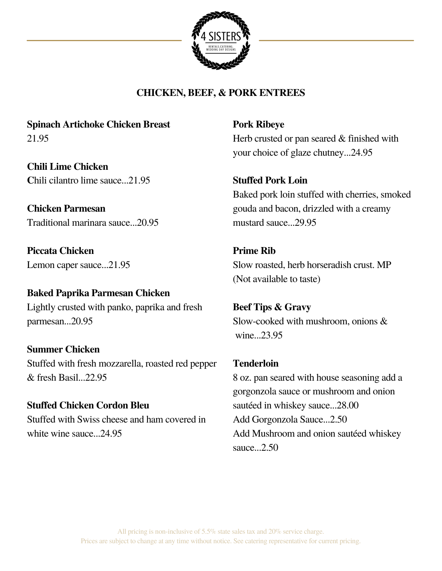

## **CHICKEN, BEEF, & PORK ENTREES**

**Spinach Artichoke Chicken Breast** 21.95

**Chili Lime Chicken C**hili cilantro lime sauce...21.95

**Chicken Parmesan** Traditional marinara sauce...20.95

**Piccata Chicken** Lemon caper sauce...21.95

#### **Baked Paprika Parmesan Chicken**

Lightly crusted with panko, paprika and fresh parmesan...20.95

**Summer Chicken** Stuffed with fresh mozzarella, roasted red pepper & fresh Basil...22.95

**Stuffed Chicken Cordon Bleu** Stuffed with Swiss cheese and ham covered in white wine sauce...24.95

**Pork Ribeye** Herb crusted or pan seared & finished with your choice of glaze chutney...24.95

#### **Stuffed Pork Loin**

Baked pork loin stuffed with cherries, smoked gouda and bacon, drizzled with a creamy mustard sauce...29.95

**Prime Rib** Slow roasted, herb horseradish crust. MP (Not available to taste)

**Beef Tips & Gravy** Slow-cooked with mushroom, onions & wine...23.95

**Tenderloin** 8 oz. pan seared with house seasoning add a gorgonzola sauce or mushroom and onion sautéed in whiskey sauce...28.00 Add Gorgonzola Sauce...2.50 Add Mushroom and onion sautéed whiskey sauce...2.50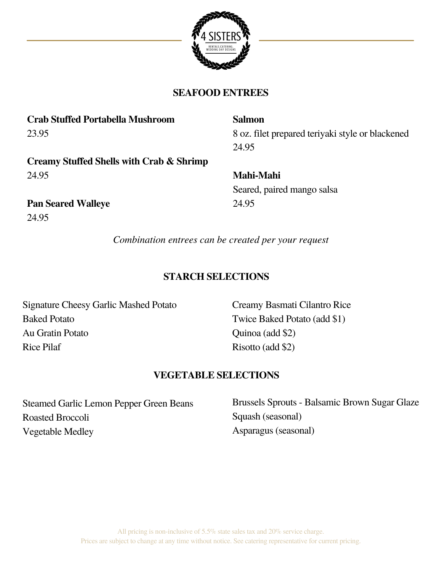

#### **SEAFOOD ENTREES**

| <b>Salmon</b>                                    |
|--------------------------------------------------|
| 8 oz. filet prepared teriyaki style or blackened |
| 24.95                                            |
|                                                  |
| <b>Mahi-Mahi</b>                                 |
| Seared, paired mango salsa                       |
| 24.95                                            |
|                                                  |
|                                                  |

*Combination entrees can be created per your request*

## **STARCH SELECTIONS**

Signature Cheesy Garlic Mashed Potato Baked Potato Au Gratin Potato Rice Pilaf

Creamy Basmati Cilantro Rice Twice Baked Potato (add \$1) Quinoa (add \$2) Risotto (add \$2)

#### **VEGETABLE SELECTIONS**

Steamed Garlic Lemon Pepper Green Beans Roasted Broccoli Vegetable Medley

Brussels Sprouts - Balsamic Brown Sugar Glaze Squash (seasonal) Asparagus (seasonal)